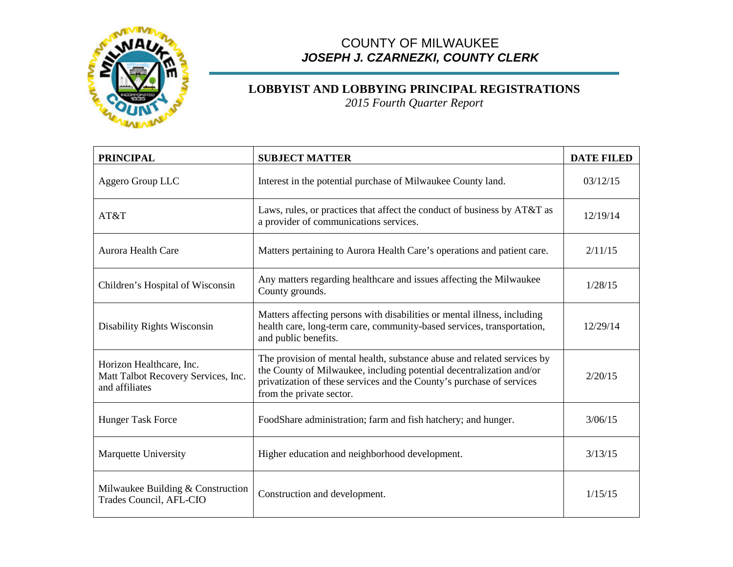

## COUNTY OF MILWAUKEE *JOSEPH J. CZARNEZKI, COUNTY CLERK*

## **LOBBYIST AND LOBBYING PRINCIPAL REGISTRATIONS**

*2015 Fourth Quarter Report*

| <b>PRINCIPAL</b>                                                                  | <b>SUBJECT MATTER</b>                                                                                                                                                                                                                                | <b>DATE FILED</b> |
|-----------------------------------------------------------------------------------|------------------------------------------------------------------------------------------------------------------------------------------------------------------------------------------------------------------------------------------------------|-------------------|
| Aggero Group LLC                                                                  | Interest in the potential purchase of Milwaukee County land.                                                                                                                                                                                         | 03/12/15          |
| AT&T                                                                              | Laws, rules, or practices that affect the conduct of business by AT&T as<br>a provider of communications services.                                                                                                                                   | 12/19/14          |
| Aurora Health Care                                                                | Matters pertaining to Aurora Health Care's operations and patient care.                                                                                                                                                                              | 2/11/15           |
| Children's Hospital of Wisconsin                                                  | Any matters regarding healthcare and issues affecting the Milwaukee<br>County grounds.                                                                                                                                                               | 1/28/15           |
| Disability Rights Wisconsin                                                       | Matters affecting persons with disabilities or mental illness, including<br>health care, long-term care, community-based services, transportation,<br>and public benefits.                                                                           | 12/29/14          |
| Horizon Healthcare, Inc.<br>Matt Talbot Recovery Services, Inc.<br>and affiliates | The provision of mental health, substance abuse and related services by<br>the County of Milwaukee, including potential decentralization and/or<br>privatization of these services and the County's purchase of services<br>from the private sector. | 2/20/15           |
| <b>Hunger Task Force</b>                                                          | FoodShare administration; farm and fish hatchery; and hunger.                                                                                                                                                                                        | 3/06/15           |
| <b>Marquette University</b>                                                       | Higher education and neighborhood development.                                                                                                                                                                                                       | 3/13/15           |
| Milwaukee Building & Construction<br>Trades Council, AFL-CIO                      | Construction and development.                                                                                                                                                                                                                        | 1/15/15           |